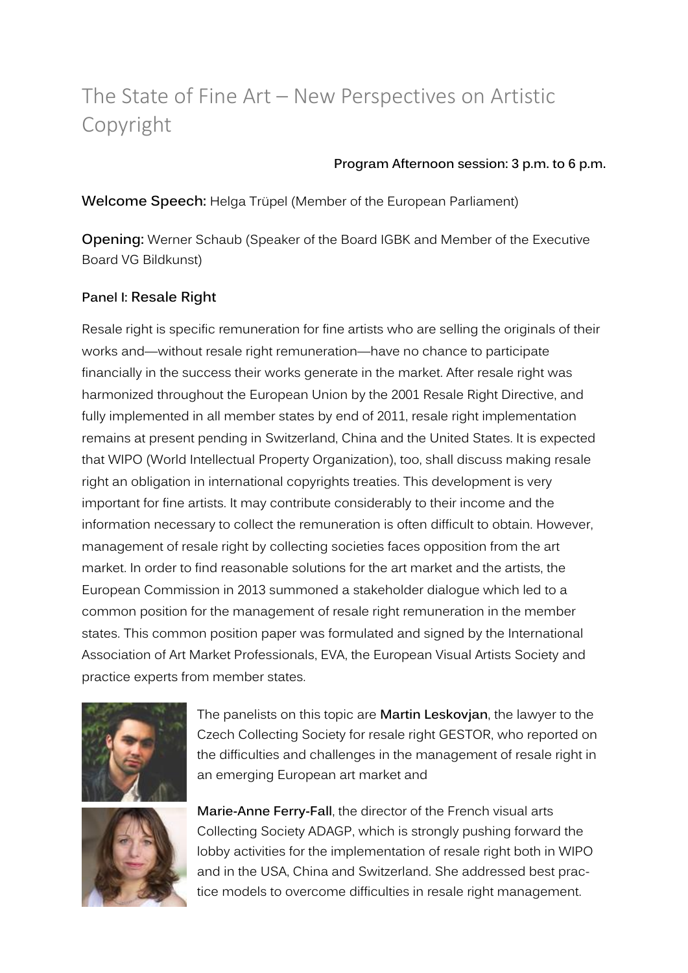# The State of Fine Art – New Perspectives on Artistic Copyright

#### **Program Afternoon session: 3 p.m. to 6 p.m.**

**Welcome Speech:** Helga Trüpel (Member of the European Parliament)

**Opening:** Werner Schaub (Speaker of the Board IGBK and Member of the Executive Board VG Bildkunst)

# **Panel I: Resale Right**

Resale right is specific remuneration for fine artists who are selling the originals of their works and—without resale right remuneration—have no chance to participate financially in the success their works generate in the market. After resale right was harmonized throughout the European Union by the 2001 Resale Right Directive, and fully implemented in all member states by end of 2011, resale right implementation remains at present pending in Switzerland, China and the United States. It is expected that WIPO (World Intellectual Property Organization), too, shall discuss making resale right an obligation in international copyrights treaties. This development is very important for fine artists. It may contribute considerably to their income and the information necessary to collect the remuneration is often difficult to obtain. However, management of resale right by collecting societies faces opposition from the art market. In order to find reasonable solutions for the art market and the artists, the European Commission in 2013 summoned a stakeholder dialogue which led to a common position for the management of resale right remuneration in the member states. This common position paper was formulated and signed by the International Association of Art Market Professionals, EVA, the European Visual Artists Society and practice experts from member states.



The panelists on this topic are **Martin Leskovjan**, the lawyer to the Czech Collecting Society for resale right GESTOR, who reported on the difficulties and challenges in the management of resale right in an emerging European art market and



**Marie-Anne Ferry-Fall**, the director of the French visual arts Collecting Society ADAGP, which is strongly pushing forward the lobby activities for the implementation of resale right both in WIPO and in the USA, China and Switzerland. She addressed best practice models to overcome difficulties in resale right management.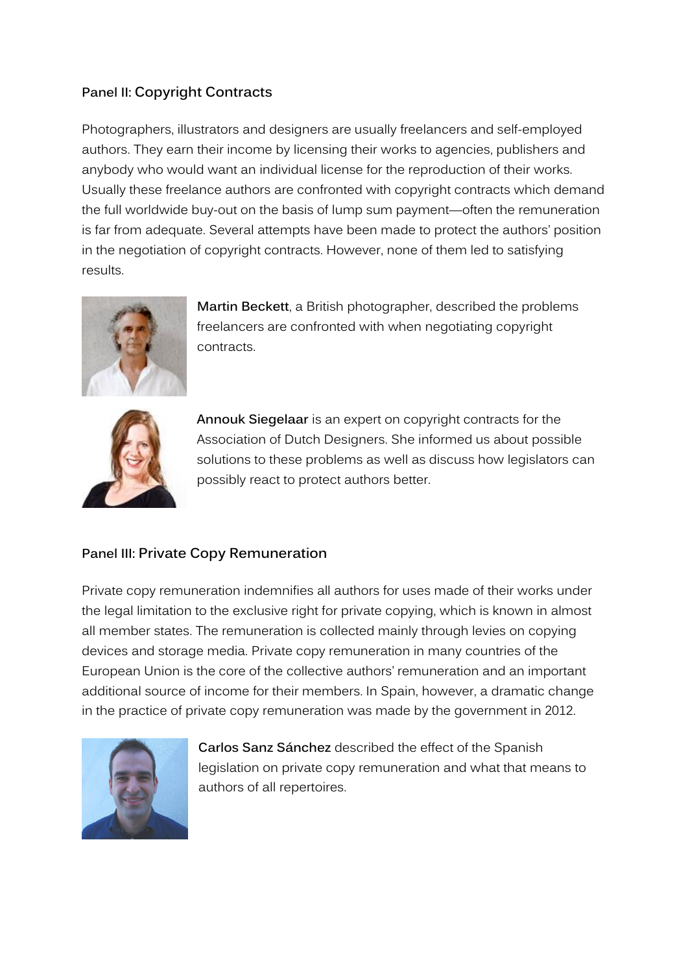# **Panel II: Copyright Contracts**

Photographers, illustrators and designers are usually freelancers and self-employed authors. They earn their income by licensing their works to agencies, publishers and anybody who would want an individual license for the reproduction of their works. Usually these freelance authors are confronted with copyright contracts which demand the full worldwide buy-out on the basis of lump sum payment—often the remuneration is far from adequate. Several attempts have been made to protect the authors' position in the negotiation of copyright contracts. However, none of them led to satisfying results.



**Martin Beckett**, a British photographer, described the problems freelancers are confronted with when negotiating copyright contracts.



**Annouk Siegelaar** is an expert on copyright contracts for the Association of Dutch Designers. She informed us about possible solutions to these problems as well as discuss how legislators can possibly react to protect authors better.

### **Panel III: Private Copy Remuneration**

Private copy remuneration indemnifies all authors for uses made of their works under the legal limitation to the exclusive right for private copying, which is known in almost all member states. The remuneration is collected mainly through levies on copying devices and storage media. Private copy remuneration in many countries of the European Union is the core of the collective authors' remuneration and an important additional source of income for their members. In Spain, however, a dramatic change in the practice of private copy remuneration was made by the government in 2012.



**Carlos Sanz Sánchez** described the effect of the Spanish legislation on private copy remuneration and what that means to authors of all repertoires.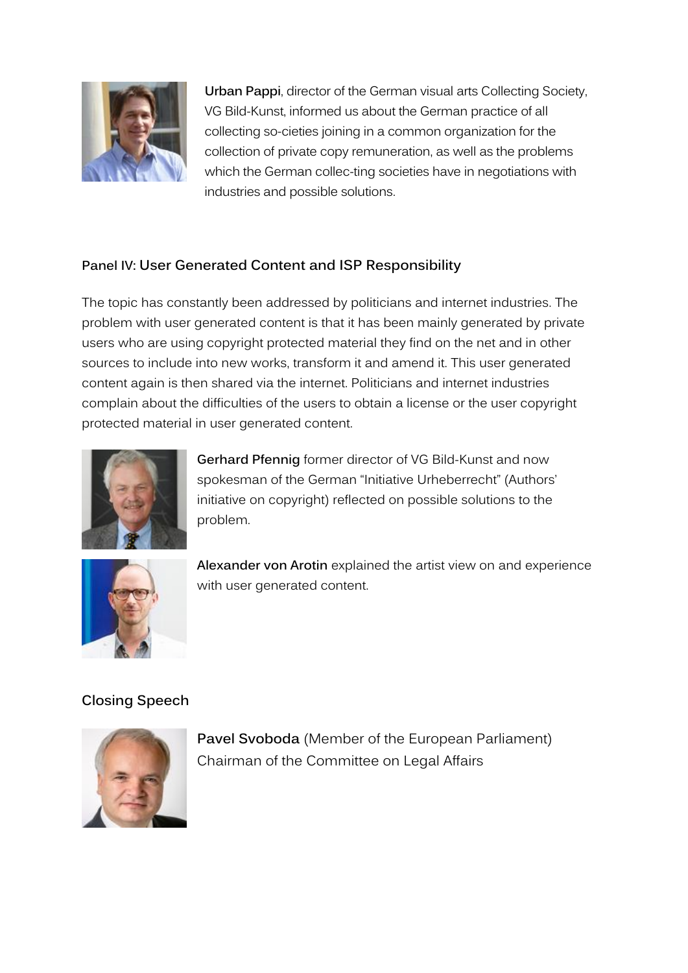

**Urban Pappi**, director of the German visual arts Collecting Society, VG Bild-Kunst, informed us about the German practice of all collecting so-cieties joining in a common organization for the collection of private copy remuneration, as well as the problems which the German collec-ting societies have in negotiations with industries and possible solutions.

# **Panel IV: User Generated Content and ISP Responsibility**

The topic has constantly been addressed by politicians and internet industries. The problem with user generated content is that it has been mainly generated by private users who are using copyright protected material they find on the net and in other sources to include into new works, transform it and amend it. This user generated content again is then shared via the internet. Politicians and internet industries complain about the difficulties of the users to obtain a license or the user copyright protected material in user generated content.



**Gerhard Pfennig** former director of VG Bild-Kunst and now spokesman of the German "Initiative Urheberrecht" (Authors' initiative on copyright) reflected on possible solutions to the problem.



**Alexander von Arotin** explained the artist view on and experience with user generated content.

# **Closing Speech**



**Pavel Svoboda** (Member of the European Parliament) Chairman of the Committee on Legal Affairs